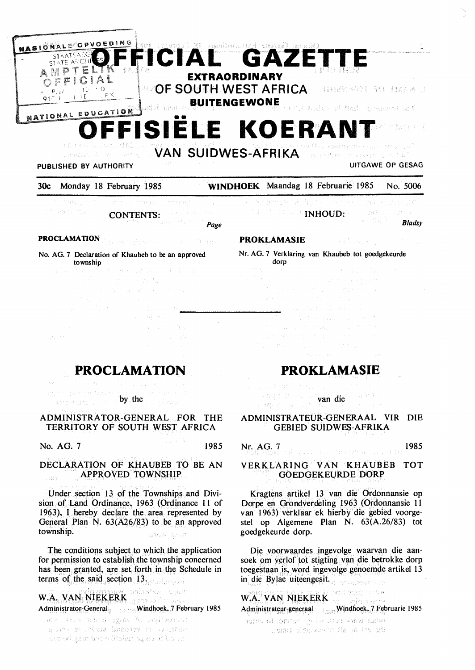

VAN SUIDWES-AFRIKA **URBREATA** RE

### PUBLISHED BY AUTHORITY UITGAWE OP GESAG

### 30c Monday 18 February 1985 **WINDHOEK** Maandag 18 Februarie 1985 No. 5006

and the program n ting rang<sup>g</sup> 网络小海峡 地名 CONTENTS:

Page

# **PROCLAMATION**

### No. AG. 7 Declaration of Khaubeb to be an approved township

 $\mathcal{A}=\mathcal{A}^{\text{reg}}\otimes\mathcal{M}_{\text{eff}}$ 

**PROCLAMATION** 

ng ni dan ya hukiyi by the 4. 地位列放的

### ADMINISTRATOR-GENERAL FOR THE TERRITORY OF SOUTH WEST AFRICA

**No. AG. 7** 1985

### **DECLARATION OF KHAUBEB** TO BE AN **APPROVED TOWNSHIP**  .<br>Barte

Under section 13 of the Townships and Division of Land Ordinance. 1963 (Ordinance 11 of 1963), I hereby declare the area represented by General Plan N. 63(A26/83) to be an approved township. **DYSK** STIM

The conditions subject to which the application for permission to establish the township concerned has been granted, are set forth in the Schedule in terms of the said section 13.

W.A. VAN NIEKERK START VAN BRE Administrator-General. Windhoek, 7 February 1985

mertyn dias sine and the danna en verband mean, te sona th oif is calpe milefike trid may herred

hindbox's gridule. - 77  $\mathbb{E}[\mathbb{E}[\mathbb{E}^{(1)}]$  is the set  $\mathbb{E}[\mathbf{N}\mathbf{H}\mathbf{O}\mathbf{U}\mathbf{D};\mathbb{E}^{(1)}]$  and  $\mathbb{E}[\mathbb{E}[\mathbb{E}^{(1)}]$ *Bladsy* 

### **PROKLAMASIE**

Nr. AG. 7 Verklaring van Khaubeb tot goedgekeurde dorp

**THE REPORT OF STREET** 

## **PROKLAMASIE**

t av Diffi titl United to Dept. 15 van die 5. 通常 (1) Record)

ADMINISTRATEUR-GENERAAL VIR DIE GEBIED SUIDWES-AFRIKA

**Nr. AG.** 7 **1985** 

### **VERKLARING VAN KHAUBEB TOT GOEDGEKEURDE DORP**

Kragtens artikel 13 van die Ordonnansie op Dorpe en Grondverdeling 1963 (Ordonnansie 11 van l 963) verklaar ek hierby die gebied voorgestel op Algemene Plan N. 63(A.26/83) tot goedgekeurde dorp.

Die voorwaardes ingevolge waarvan die aansoek om verlof tot stigting. van die betrokke dorp toegestaan is, word ingevolge genoemde artikel 13 in die Bylae uiteengesit.

W.A. ... WAN NJEKERK Administrateur-generaal <sub>is w</sub>Windhoek, 7 Februarie 1985

other work surfucion in the coner the stime all movement in any self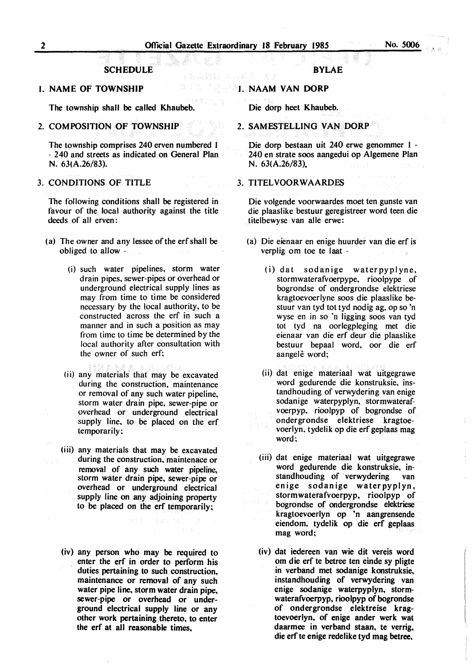### **SCHEDULE**

### I. NAME OF TOWNSHIP

The township shall be called Khaubeb.

2. COM POSITION OF TOWNSHIP

The township comprises 240 erven numbered I - 240 and streets as indicated on General Plan N. 63(A.26/83).

### 3. CONDITIONS OF TITLE

The following conditions shall be registered in favour of the local authority against the title deeds of all erven:

- (a) The owner and any lessee of the erf shall be obliged to allow -
	- (i) such water pipelines, storm water drain pipes, sewer-pipes or overhead or underground electrical supply lines as may from time to time be considered necessary by the local authority, to be constructed across the erf in such a manner and in such a position as may from time to time be determined by the local authority after consultation with the owner of such erf;
	- (ii) any materials that may be excavated during the construction, maintenance or removal of any such water pipeline, storm water drain pipe, sewer-pipe or overhead or underground electrical supply line, to be placed on the erf temporarily;
	- (iii) any materials that may be excavated during the construction. maintenace or removal of any such water pipeline, storm water drain pipe. sewer-pipe or overhead or underground electrical supply line on any adjoining property to be placed on the erf temporarily;
	- (iv) any person who may be required to enter the erf in order to perform his duties pertaining to such construction. maintenance or removal of any such water pipe line, storm water drain pipe. sewer-pipe or overhead or underground electrical supply line or any other work pertaining thereto. to enter the erf at all reasonable times.

### **BYLAE**

### I. **NAAM VAN DORP**

Die dorp heet Khaubeb.

2. SAMESTELLING VAN OORP

Die dorp bestaan uit 240 erwe genommer 1 - 240 en strate soos aangedui op Algemene Plan N. 63(A.26/83).

### 3. **TJTELVOORWAARDES**

Die volgende voorwaardes moet ten gunste van die plaaslike bestuur geregistreer word teen die titelbewyse van alle erwe:

- (a) Die eienaar en enige huurder van die erf is verplig om toe te laat -
	- (i) dat sodanige waterpyplyne, stormwaterafvoerpype, rioolpype of bogrondse of ondergrondse elektriese kragtoevoerlyne soos die plaaslike bestuur van tyd tot tyd nodig ag, op so 'n wyse en in so 'n ligging soos van tyd tot tyd na oorlegpleging met die eienaar van die erf deur die plaaslike bestuur bepaal word, oor die erf aangelê word;
	- (ii) dat enige materiaal wat uitgegrawe word gedurende die konstruksie, instandhouding of verwydering van enige sodanige waterpyplyn, stormwaterafvoerpyp, rioolpyp of bogrondse of ondergrondse elektriese kragtoevoerlyn, tydelik op die erf geplaas mag word;
	- (iii) dat enige materiaal wat uitgegrawe word gedurende die konstruksie, instandhouding of verwydering van enige sodanige waterpyplyn, stormwaterafvoerpyp. rioolpyp of bogrondse of ondergrondse elektriese kragtoevoerlyn op 'n aangrensende eiendom, tydelik op die erf geplaas mag word;
	- (iv) dat iedereen van wie dit vereis word om die erf te betree ten einde sy pligte in verband met sodanige konstruksie, instandhouding of verwydering van enige sodanige waterpyplyn, stormwaterafvoerpyp, rioolpyp of bogrondse of ondergrondse elektreise kragtoevoerlyn, of enige ander werk wat daarmee in verband staan, te verrig, die erf te enige redelike tyd mag betree,